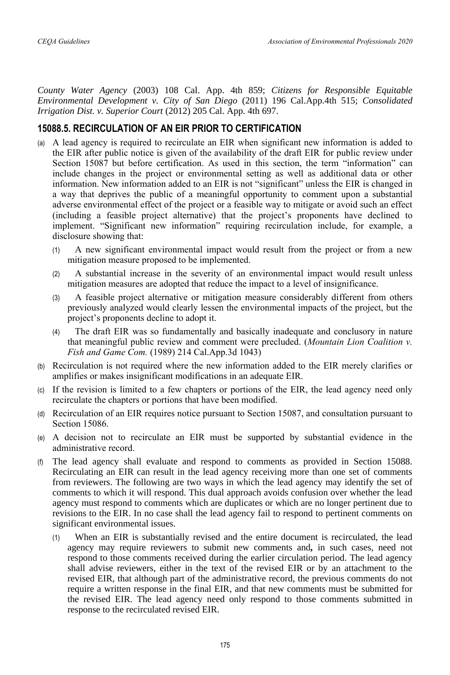*County Water Agency* (2003) 108 Cal. App. 4th 859; *Citizens for Responsible Equitable Environmental Development v. City of San Diego* (2011) 196 Cal.App.4th 515; *Consolidated Irrigation Dist. v. Superior Court* (2012) 205 Cal. App. 4th 697.

## **15088.5. RECIRCULATION OF AN EIR PRIOR TO CERTIFICATION**

- (a) A lead agency is required to recirculate an EIR when significant new information is added to the EIR after public notice is given of the availability of the draft EIR for public review under Section 15087 but before certification. As used in this section, the term "information" can include changes in the project or environmental setting as well as additional data or other information. New information added to an EIR is not "significant" unless the EIR is changed in a way that deprives the public of a meaningful opportunity to comment upon a substantial adverse environmental effect of the project or a feasible way to mitigate or avoid such an effect (including a feasible project alternative) that the project's proponents have declined to implement. "Significant new information" requiring recirculation include, for example, a disclosure showing that:
	- (1) A new significant environmental impact would result from the project or from a new mitigation measure proposed to be implemented.
	- (2) A substantial increase in the severity of an environmental impact would result unless mitigation measures are adopted that reduce the impact to a level of insignificance.
	- (3) A feasible project alternative or mitigation measure considerably different from others previously analyzed would clearly lessen the environmental impacts of the project, but the project's proponents decline to adopt it.
	- (4) The draft EIR was so fundamentally and basically inadequate and conclusory in nature that meaningful public review and comment were precluded. (*Mountain Lion Coalition v. Fish and Game Com.* (1989) 214 Cal.App.3d 1043)
- (b) Recirculation is not required where the new information added to the EIR merely clarifies or amplifies or makes insignificant modifications in an adequate EIR.
- (c) If the revision is limited to a few chapters or portions of the EIR, the lead agency need only recirculate the chapters or portions that have been modified.
- (d) Recirculation of an EIR requires notice pursuant to Section 15087, and consultation pursuant to Section 15086.
- (e) A decision not to recirculate an EIR must be supported by substantial evidence in the administrative record.
- (f) The lead agency shall evaluate and respond to comments as provided in Section 15088. Recirculating an EIR can result in the lead agency receiving more than one set of comments from reviewers. The following are two ways in which the lead agency may identify the set of comments to which it will respond. This dual approach avoids confusion over whether the lead agency must respond to comments which are duplicates or which are no longer pertinent due to revisions to the EIR. In no case shall the lead agency fail to respond to pertinent comments on significant environmental issues.
	- (1) When an EIR is substantially revised and the entire document is recirculated, the lead agency may require reviewers to submit new comments and*,* in such cases, need not respond to those comments received during the earlier circulation period. The lead agency shall advise reviewers, either in the text of the revised EIR or by an attachment to the revised EIR, that although part of the administrative record, the previous comments do not require a written response in the final EIR, and that new comments must be submitted for the revised EIR. The lead agency need only respond to those comments submitted in response to the recirculated revised EIR.